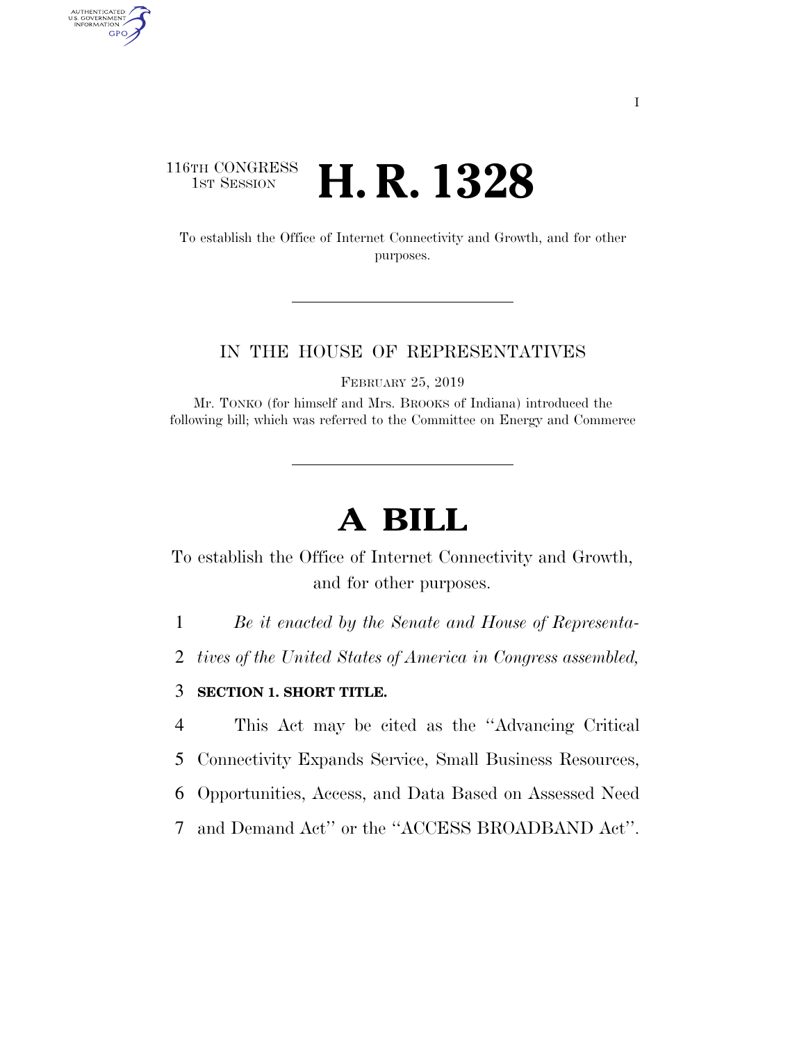### 116TH CONGRESS <sup>TH CONGRESS</sup> **H. R. 1328**

AUTHENTICATED<br>U.S. GOVERNMENT<br>INFORMATION GPO

> To establish the Office of Internet Connectivity and Growth, and for other purposes.

#### IN THE HOUSE OF REPRESENTATIVES

FEBRUARY 25, 2019

Mr. TONKO (for himself and Mrs. BROOKS of Indiana) introduced the following bill; which was referred to the Committee on Energy and Commerce

# **A BILL**

To establish the Office of Internet Connectivity and Growth, and for other purposes.

1 *Be it enacted by the Senate and House of Representa-*

2 *tives of the United States of America in Congress assembled,* 

#### 3 **SECTION 1. SHORT TITLE.**

 This Act may be cited as the ''Advancing Critical Connectivity Expands Service, Small Business Resources, Opportunities, Access, and Data Based on Assessed Need and Demand Act'' or the ''ACCESS BROADBAND Act''.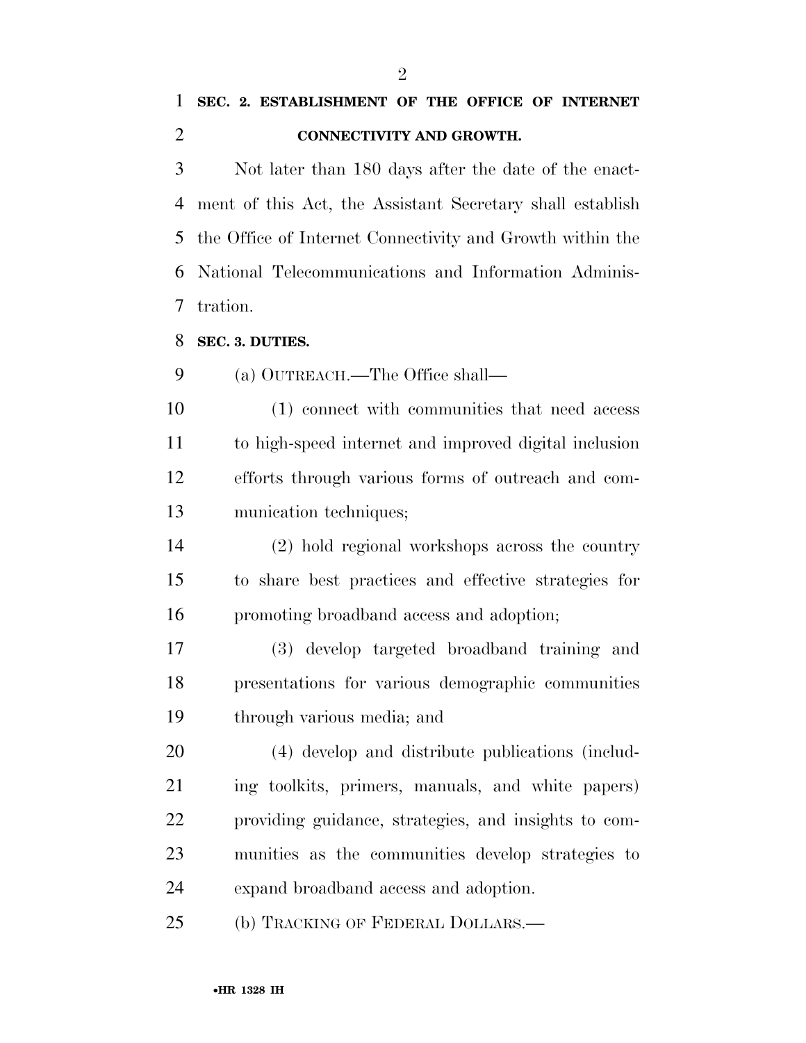## **SEC. 2. ESTABLISHMENT OF THE OFFICE OF INTERNET CONNECTIVITY AND GROWTH.**

 Not later than 180 days after the date of the enact- ment of this Act, the Assistant Secretary shall establish the Office of Internet Connectivity and Growth within the National Telecommunications and Information Adminis-tration.

#### **SEC. 3. DUTIES.**

(a) OUTREACH.—The Office shall—

 (1) connect with communities that need access to high-speed internet and improved digital inclusion efforts through various forms of outreach and com-munication techniques;

 (2) hold regional workshops across the country to share best practices and effective strategies for promoting broadband access and adoption;

 (3) develop targeted broadband training and presentations for various demographic communities through various media; and

 (4) develop and distribute publications (includ- ing toolkits, primers, manuals, and white papers) providing guidance, strategies, and insights to com- munities as the communities develop strategies to expand broadband access and adoption.

(b) TRACKING OF FEDERAL DOLLARS.—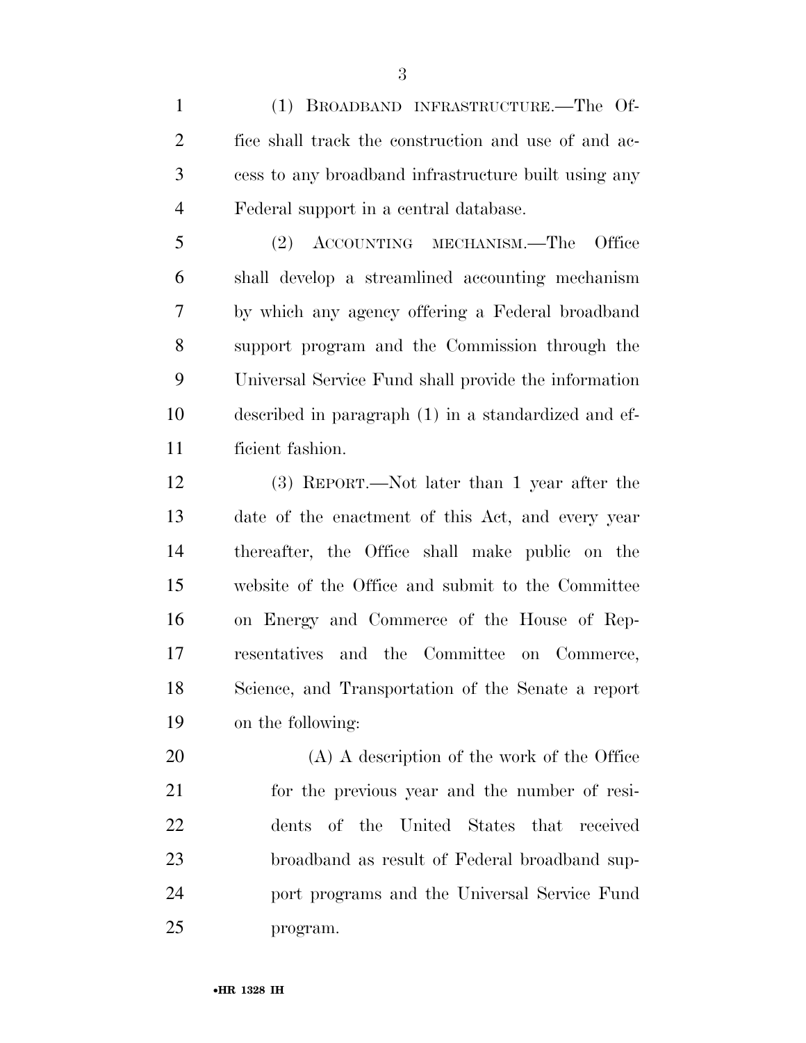(1) BROADBAND INFRASTRUCTURE.—The Of- fice shall track the construction and use of and ac- cess to any broadband infrastructure built using any Federal support in a central database.

 (2) ACCOUNTING MECHANISM.—The Office shall develop a streamlined accounting mechanism by which any agency offering a Federal broadband support program and the Commission through the Universal Service Fund shall provide the information described in paragraph (1) in a standardized and ef-ficient fashion.

 (3) REPORT.—Not later than 1 year after the date of the enactment of this Act, and every year thereafter, the Office shall make public on the website of the Office and submit to the Committee on Energy and Commerce of the House of Rep- resentatives and the Committee on Commerce, Science, and Transportation of the Senate a report on the following:

 (A) A description of the work of the Office for the previous year and the number of resi- dents of the United States that received broadband as result of Federal broadband sup- port programs and the Universal Service Fund program.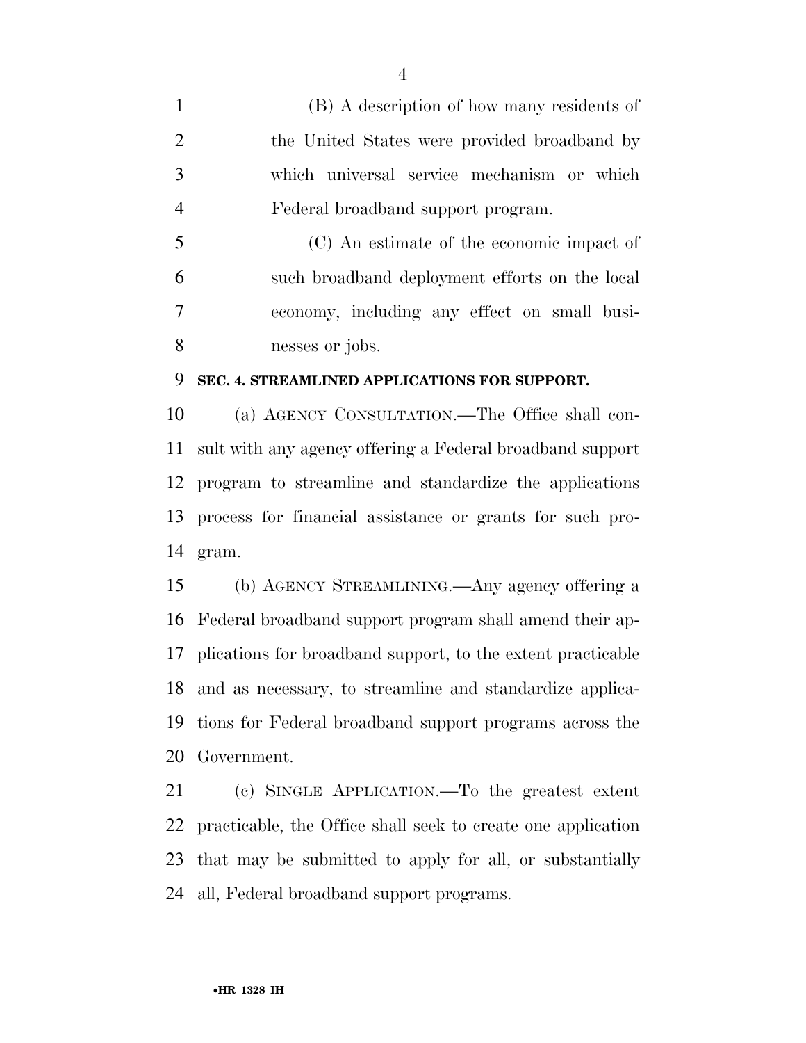(B) A description of how many residents of 2 the United States were provided broadband by which universal service mechanism or which Federal broadband support program.

 (C) An estimate of the economic impact of such broadband deployment efforts on the local economy, including any effect on small busi-nesses or jobs.

#### **SEC. 4. STREAMLINED APPLICATIONS FOR SUPPORT.**

 (a) AGENCY CONSULTATION.—The Office shall con- sult with any agency offering a Federal broadband support program to streamline and standardize the applications process for financial assistance or grants for such pro-gram.

 (b) AGENCY STREAMLINING.—Any agency offering a Federal broadband support program shall amend their ap- plications for broadband support, to the extent practicable and as necessary, to streamline and standardize applica- tions for Federal broadband support programs across the Government.

 (c) SINGLE APPLICATION.—To the greatest extent practicable, the Office shall seek to create one application that may be submitted to apply for all, or substantially all, Federal broadband support programs.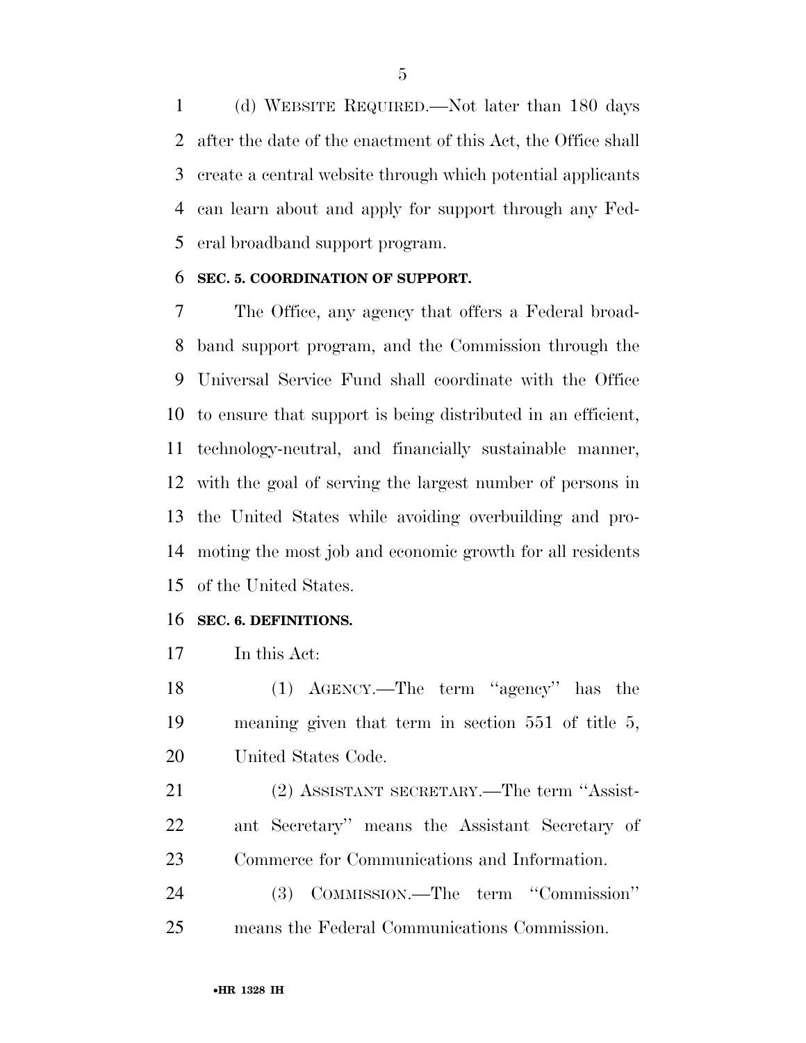(d) WEBSITE REQUIRED.—Not later than 180 days after the date of the enactment of this Act, the Office shall create a central website through which potential applicants can learn about and apply for support through any Fed-eral broadband support program.

#### **SEC. 5. COORDINATION OF SUPPORT.**

 The Office, any agency that offers a Federal broad- band support program, and the Commission through the Universal Service Fund shall coordinate with the Office to ensure that support is being distributed in an efficient, technology-neutral, and financially sustainable manner, with the goal of serving the largest number of persons in the United States while avoiding overbuilding and pro- moting the most job and economic growth for all residents of the United States.

#### **SEC. 6. DEFINITIONS.**

In this Act:

 (1) AGENCY.—The term ''agency'' has the meaning given that term in section 551 of title 5, United States Code.

 (2) ASSISTANT SECRETARY.—The term ''Assist- ant Secretary'' means the Assistant Secretary of Commerce for Communications and Information.

 (3) COMMISSION.—The term ''Commission'' means the Federal Communications Commission.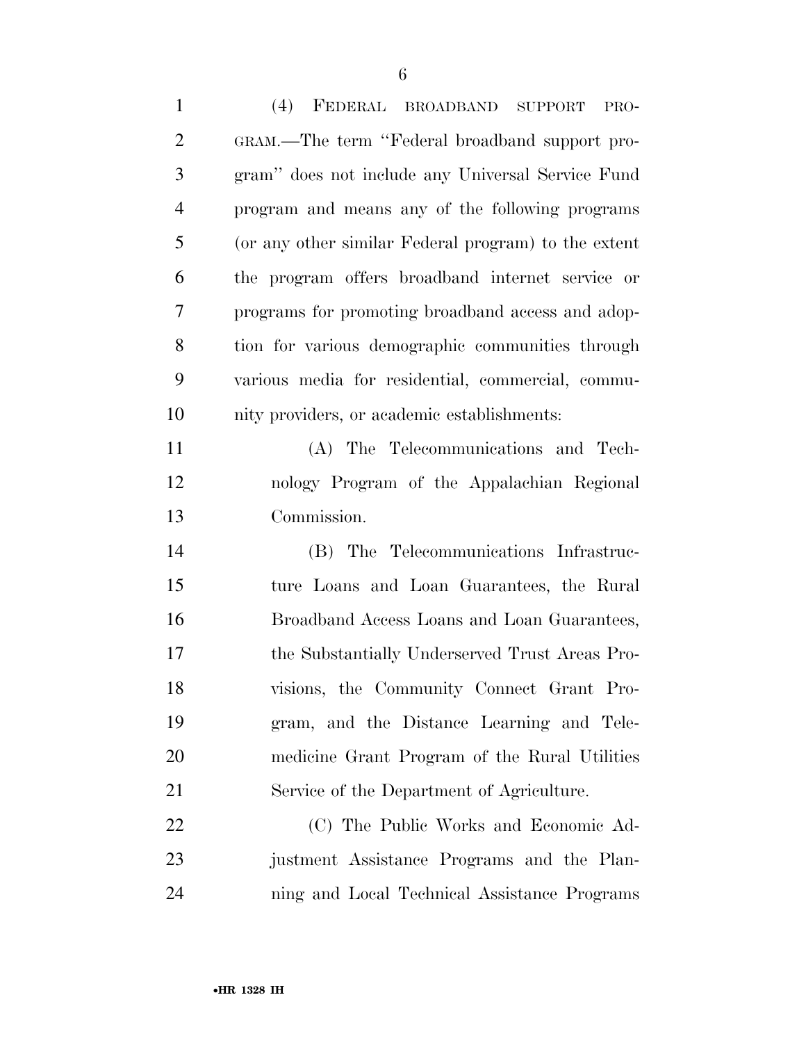| $\mathbf{1}$   | (4)<br>FEDERAL BROADBAND<br><b>SUPPORT</b><br>PRO-   |
|----------------|------------------------------------------------------|
| $\overline{2}$ | GRAM.—The term "Federal broadband support pro-       |
| 3              | gram" does not include any Universal Service Fund    |
| $\overline{4}$ | program and means any of the following programs      |
| 5              | (or any other similar Federal program) to the extent |
| 6              | the program offers broadband internet service or     |
| 7              | programs for promoting broadband access and adop-    |
| 8              | tion for various demographic communities through     |
| 9              | various media for residential, commercial, commu-    |
| 10             | nity providers, or academic establishments:          |
| 11             | (A) The Telecommunications and Tech-                 |
| 12             | nology Program of the Appalachian Regional           |
| 13             | Commission.                                          |
| 14             | (B) The Telecommunications Infrastruc-               |
| 15             | ture Loans and Loan Guarantees, the Rural            |
| 16             | Broadband Access Loans and Loan Guarantees,          |
| 17             | the Substantially Underserved Trust Areas Pro-       |
| 18             | visions, the Community Connect Grant Pro-            |
| 19             | gram, and the Distance Learning and Tele-            |
| 20             | medicine Grant Program of the Rural Utilities        |
| 21             | Service of the Department of Agriculture.            |
| 22             | (C) The Public Works and Economic Ad-                |
| 23             | justment Assistance Programs and the Plan-           |
| 24             | ning and Local Technical Assistance Programs         |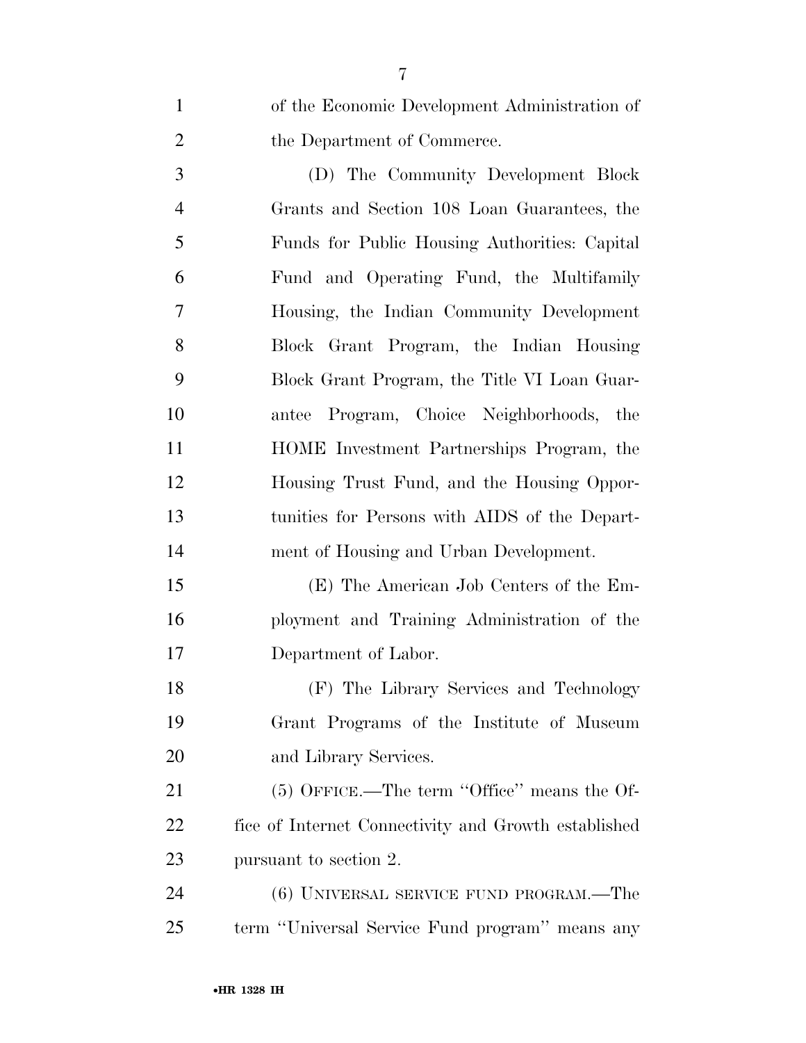of the Economic Development Administration of 2 the Department of Commerce.

 (D) The Community Development Block Grants and Section 108 Loan Guarantees, the Funds for Public Housing Authorities: Capital Fund and Operating Fund, the Multifamily Housing, the Indian Community Development Block Grant Program, the Indian Housing Block Grant Program, the Title VI Loan Guar- antee Program, Choice Neighborhoods, the HOME Investment Partnerships Program, the Housing Trust Fund, and the Housing Oppor- tunities for Persons with AIDS of the Depart-ment of Housing and Urban Development.

 (E) The American Job Centers of the Em- ployment and Training Administration of the Department of Labor.

 (F) The Library Services and Technology Grant Programs of the Institute of Museum and Library Services.

21 (5) OFFICE.—The term "Office" means the Of- fice of Internet Connectivity and Growth established pursuant to section 2.

 (6) UNIVERSAL SERVICE FUND PROGRAM.—The term ''Universal Service Fund program'' means any